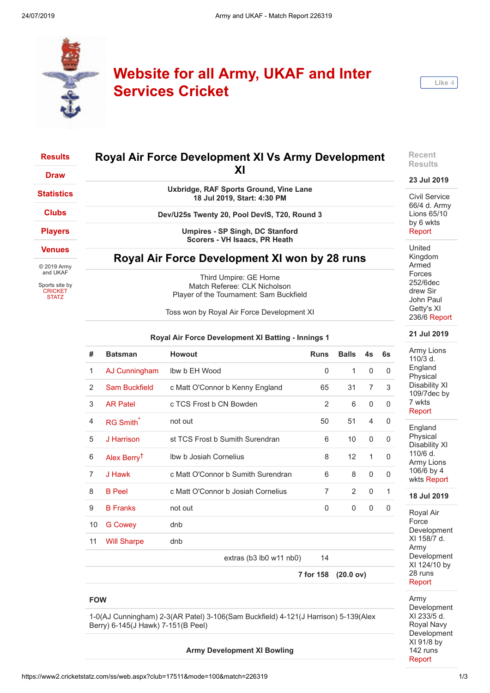



| <b>Results</b>                                               | Royal Air Force Development XI Vs Army Development                                                                                              | Recent<br><b>Results</b>                                                  |  |  |  |  |
|--------------------------------------------------------------|-------------------------------------------------------------------------------------------------------------------------------------------------|---------------------------------------------------------------------------|--|--|--|--|
| <b>Draw</b>                                                  | XI                                                                                                                                              | 23 Jul 2019                                                               |  |  |  |  |
| <b>Statistics</b>                                            | Uxbridge, RAF Sports Ground, Vine Lane<br>18 Jul 2019, Start: 4:30 PM                                                                           | Civil Service                                                             |  |  |  |  |
| <b>Clubs</b>                                                 | Dev/U25s Twenty 20, Pool DevIS, T20, Round 3                                                                                                    | 66/4 d. Army<br>Lions 65/10                                               |  |  |  |  |
| <b>Players</b>                                               | Umpires - SP Singh, DC Stanford<br>Scorers - VH Isaacs, PR Heath                                                                                | by 6 wkts<br>Report<br>United                                             |  |  |  |  |
| <b>Venues</b><br>© 2019 Army                                 | Royal Air Force Development XI won by 28 runs                                                                                                   |                                                                           |  |  |  |  |
| and UKAF<br>Sports site by<br><b>CRICKET</b><br><b>STATZ</b> | Third Umpire: GE Horne<br>Match Referee: CLK Nicholson<br>Player of the Tournament: Sam Buckfield<br>Toss won by Royal Air Force Development XI | Forces<br>252/6dec<br>drew Sir<br>John Paul<br>Getty's XI<br>236/6 Report |  |  |  |  |

## **Royal Air Force Development XI Batting - Innings 1**

| #              | <b>Batsman</b>          | <b>Howout</b>                      | <b>Runs</b> | <b>Balls</b> | 4s             | 6s       |
|----------------|-------------------------|------------------------------------|-------------|--------------|----------------|----------|
| 1              | AJ Cunningham           | Ibw b EH Wood                      | $\Omega$    | $\mathbf{1}$ | $\mathbf{0}$   | 0        |
| 2              | <b>Sam Buckfield</b>    | c Matt O'Connor b Kenny England    | 65          | 31           | $\overline{7}$ | 3        |
| 3              | <b>AR Patel</b>         | c TCS Frost b CN Bowden            | 2           | 6            | 0              | 0        |
| 4              | RG Smith*               | not out                            | 50          | 51           | 4              | 0        |
| 5              | J Harrison              | st TCS Frost b Sumith Surendran    | 6           | 10           | $\Omega$       | 0        |
| 6              | Alex Berry <sup>†</sup> | Ibw b Josiah Cornelius             | 8           | 12           | 1              | $\Omega$ |
| $\overline{7}$ | J Hawk                  | c Matt O'Connor b Sumith Surendran | 6           | 8            | $\Omega$       | $\Omega$ |
| 8              | <b>B</b> Peel           | c Matt O'Connor b Josiah Cornelius | 7           | 2            | $\Omega$       | 1        |
| 9              | <b>B</b> Franks         | not out                            | $\Omega$    | $\Omega$     | 0              | $\Omega$ |
| 10             | <b>G</b> Cowey          | dnb                                |             |              |                |          |
| 11             | <b>Will Sharpe</b>      | dnb                                |             |              |                |          |
|                |                         | extras ( $b3$ lb0 w11 nb0)         | 14          |              |                |          |

**7 for 158 (20.0 ov)**

## **FOW**

1-0(AJ Cunningham) 2-3(AR Patel) 3-106(Sam Buckfield) 4-121(J Harrison) 5-139(Alex Berry) 6-145(J Hawk) 7-151(B Peel)

#### **Army Development XI Bowling**

#### 109/7dec by 7 wkts

**21 Jul 2019**

Army Lions 110/3 d. England Physical Disability XI

# [Report](https://www2.cricketstatz.com/ss/runreport2.aspx?club=17511&mode=100&match=226407)

England Physical Disability XI 110/6 d. Army Lions 106/6 by 4 wkts [Report](https://www2.cricketstatz.com/ss/runreport2.aspx?club=17511&mode=100&match=226404)

## **18 Jul 2019**

Royal Air Force Development XI 158/7 d. Army Development XI 124/10 by 28 runs [Report](https://www2.cricketstatz.com/ss/runreport2.aspx?club=17511&mode=100&match=226319)

Army **Development** XI 233/5 d. Royal Navy Development XI 91/8 by 142 runs [Report](https://www2.cricketstatz.com/ss/runreport2.aspx?club=17511&mode=100&match=226318)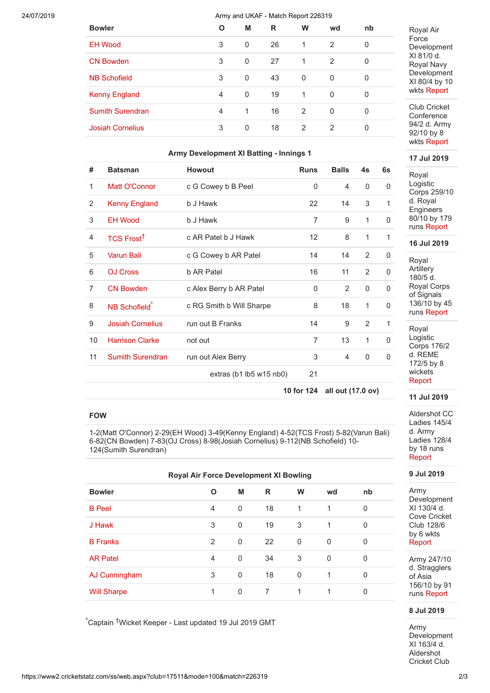### 24/07/2019 Army and UKAF - Match Report 226319

| <b>Bowler</b>           | O | M | R  | W            | wd       | nb |
|-------------------------|---|---|----|--------------|----------|----|
| <b>EH Wood</b>          | 3 | 0 | 26 | 1            | 2        | 0  |
| <b>CN Bowden</b>        | 3 | 0 | 27 | $\mathbf 1$  | 2        | 0  |
| <b>NB Schofield</b>     | 3 | 0 | 43 | $\Omega$     | $\Omega$ | 0  |
| <b>Kenny England</b>    | 4 | 0 | 19 | $\mathbf{1}$ | 0        | 0  |
| <b>Sumith Surendran</b> | 4 | 1 | 16 | 2            | $\Omega$ | 0  |
| <b>Josiah Cornelius</b> | 3 | 0 | 18 | 2            | 2        | 0  |
|                         |   |   |    |              |          |    |

## **Army Development XI Batting - Innings 1**

| <b>Batsman</b>               | <b>Howout</b>              | <b>Runs</b>    | <b>Balls</b>   | 4s           | 6s           |
|------------------------------|----------------------------|----------------|----------------|--------------|--------------|
| Matt O'Connor                | c G Cowey b B Peel         | 0              | 4              | $\mathbf{0}$ | 0            |
| <b>Kenny England</b>         | b J Hawk                   | 22             | 14             | 3            | 1            |
| <b>EH Wood</b>               | b J Hawk                   | 7              | 9              | 1            | $\Omega$     |
| <b>TCS Frost<sup>†</sup></b> | c AR Patel b J Hawk        | 12             | 8              | $\mathbf{1}$ | 1            |
| <b>Varun Bali</b>            | c G Cowey b AR Patel       | 14             | 14             | 2            | $\mathbf{0}$ |
| <b>OJ Cross</b>              | <b>b AR Patel</b>          | 16             | 11             | 2            | $\Omega$     |
| <b>CN Bowden</b>             | c Alex Berry b AR Patel    | $\Omega$       | $\overline{2}$ | $\mathbf{0}$ | $\Omega$     |
| NB Schofield <sup>*</sup>    | c RG Smith b Will Sharpe   | 8              | 18             | 1            | $\Omega$     |
| <b>Josiah Cornelius</b>      | run out B Franks           | 14             | 9              | 2            | 1            |
| <b>Harrison Clarke</b>       | not out                    | $\overline{7}$ | 13             | $\mathbf{1}$ | $\Omega$     |
| <b>Sumith Surendran</b>      | run out Alex Berry         | 3              | 4              | 0            | 0            |
|                              | extras ( $b1$ lb5 w15 nb0) | 21             |                |              |              |
|                              |                            |                |                |              |              |

**10 for 124 all out (17.0 ov)**

### **FOW**

1-2(Matt O'Connor) 2-29(EH Wood) 3-49(Kenny England) 4-52(TCS Frost) 5-82(Varun Bali) 6-82(CN Bowden) 7-83(OJ Cross) 8-98(Josiah Cornelius) 9-112(NB Schofield) 10- 124(Sumith Surendran)

| Royal Air Force Development XI Bowling |   |          |    |             |          |    |  |  |
|----------------------------------------|---|----------|----|-------------|----------|----|--|--|
| <b>Bowler</b>                          | Ο | M        | R  | W           | wd       | nb |  |  |
| <b>B</b> Peel                          | 4 | 0        | 18 | 1           | 1        | 0  |  |  |
| J Hawk                                 | 3 | 0        | 19 | 3           |          | 0  |  |  |
| <b>B</b> Franks                        | 2 | $\Omega$ | 22 | $\mathbf 0$ | 0        | 0  |  |  |
| <b>AR Patel</b>                        | 4 | $\Omega$ | 34 | 3           | $\Omega$ | 0  |  |  |
| AJ Cunningham                          | 3 | 0        | 18 | 0           | 1        | 0  |  |  |
| <b>Will Sharpe</b>                     | 1 | 0        | 7  | 1           |          | 0  |  |  |

\*Captain †Wicket Keeper - Last updated 19 Jul 2019 GMT

Royal Air Force Development XI 81/0 d. Royal Navy Development XI 80/4 by 10 wkts [Report](https://www2.cricketstatz.com/ss/runreport2.aspx?club=17511&mode=100&match=226317)

Club Cricket **Conference** 94/2 d. Army 92/10 by 8 wkts [Report](https://www2.cricketstatz.com/ss/runreport2.aspx?club=17511&mode=100&match=226322)

### **17 Jul 2019**

Royal Logistic Corps 259/10 d. Royal Engineers 80/10 by 179 runs [Report](https://www2.cricketstatz.com/ss/runreport2.aspx?club=17511&mode=100&match=226326)

**16 Jul 2019**

Royal **Artillery** 180/5 d. Royal Corps of Signals 136/10 by 45 runs [Report](https://www2.cricketstatz.com/ss/runreport2.aspx?club=17511&mode=100&match=226280)

Royal Logistic Corps 176/2 d. REME 172/5 by 8 wickets [Report](https://www2.cricketstatz.com/ss/runreport2.aspx?club=17511&mode=100&match=226278)

**11 Jul 2019**

Aldershot CC Ladies 145/4 d. Army Ladies 128/4 by 18 runs [Report](https://www2.cricketstatz.com/ss/runreport2.aspx?club=17511&mode=100&match=226116)

**9 Jul 2019**

Army Development XI 130/4 d. Cove Cricket Club 128/6 by 6 wkts [Report](https://www2.cricketstatz.com/ss/runreport2.aspx?club=17511&mode=100&match=221481)

Army 247/10 d. Stragglers of Asia 156/10 by 91 runs [Report](https://www2.cricketstatz.com/ss/runreport2.aspx?club=17511&mode=100&match=221465)

# **8 Jul 2019**

Army Development XI 163/4 d. Aldershot Cricket Club